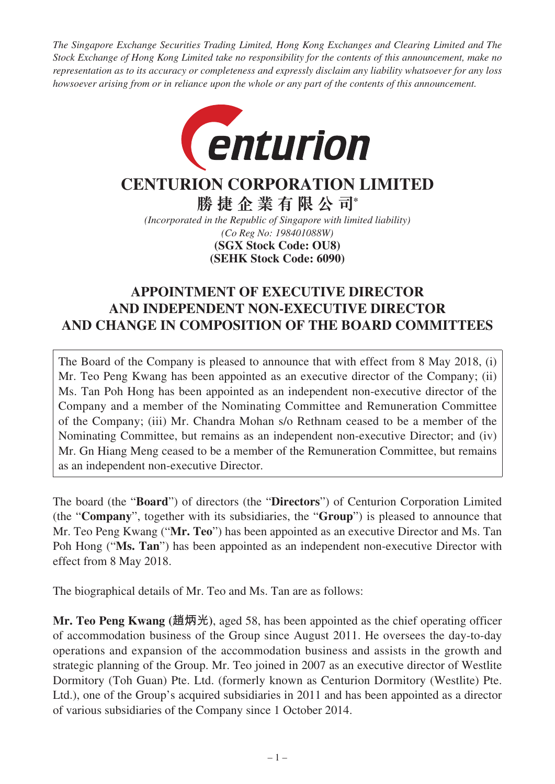*The Singapore Exchange Securities Trading Limited, Hong Kong Exchanges and Clearing Limited and The Stock Exchange of Hong Kong Limited take no responsibility for the contents of this announcement, make no representation as to its accuracy or completeness and expressly disclaim any liability whatsoever for any loss howsoever arising from or in reliance upon the whole or any part of the contents of this announcement.*



## **CENTURION CORPORATION LIMITED**

**勝捷企業有限公司\*** *(Incorporated in the Republic of Singapore with limited liability)*

> *(Co Reg No: 198401088W)* **(SEHK Stock Code: 6090) (SGX Stock Code: OU8)**

## **APPOINTMENT OF EXECUTIVE DIRECTOR AND INDEPENDENT NON-EXECUTIVE DIRECTOR AND CHANGE IN COMPOSITION OF THE BOARD COMMITTEES**

The Board of the Company is pleased to announce that with effect from 8 May 2018, (i) Mr. Teo Peng Kwang has been appointed as an executive director of the Company; (ii) Ms. Tan Poh Hong has been appointed as an independent non-executive director of the Company and a member of the Nominating Committee and Remuneration Committee of the Company; (iii) Mr. Chandra Mohan s/o Rethnam ceased to be a member of the Nominating Committee, but remains as an independent non-executive Director; and (iv) Mr. Gn Hiang Meng ceased to be a member of the Remuneration Committee, but remains as an independent non-executive Director.

The board (the "**Board**") of directors (the "**Directors**") of Centurion Corporation Limited (the "**Company**", together with its subsidiaries, the "**Group**") is pleased to announce that Mr. Teo Peng Kwang ("**Mr. Teo**") has been appointed as an executive Director and Ms. Tan Poh Hong ("**Ms. Tan**") has been appointed as an independent non-executive Director with effect from 8 May 2018.

The biographical details of Mr. Teo and Ms. Tan are as follows:

**Mr. Teo Peng Kwang (趙炳光)**, aged 58, has been appointed as the chief operating officer of accommodation business of the Group since August 2011. He oversees the day-to-day operations and expansion of the accommodation business and assists in the growth and strategic planning of the Group. Mr. Teo joined in 2007 as an executive director of Westlite Dormitory (Toh Guan) Pte. Ltd. (formerly known as Centurion Dormitory (Westlite) Pte. Ltd.), one of the Group's acquired subsidiaries in 2011 and has been appointed as a director of various subsidiaries of the Company since 1 October 2014.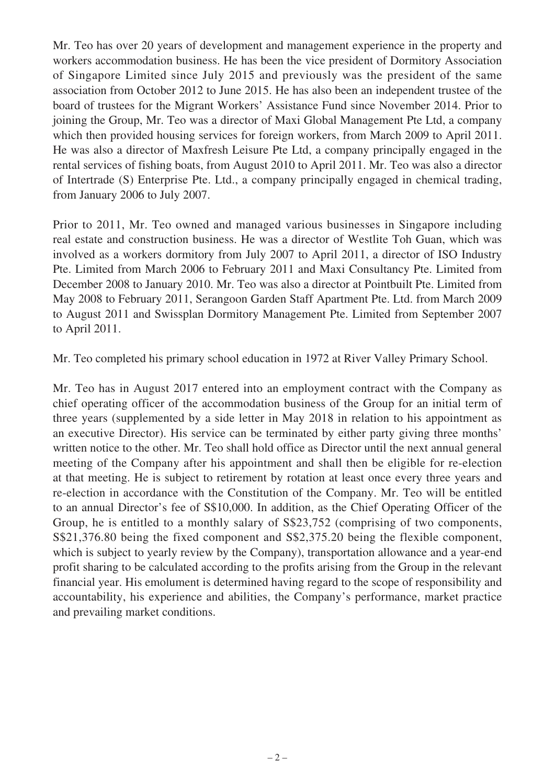Mr. Teo has over 20 years of development and management experience in the property and workers accommodation business. He has been the vice president of Dormitory Association of Singapore Limited since July 2015 and previously was the president of the same association from October 2012 to June 2015. He has also been an independent trustee of the board of trustees for the Migrant Workers' Assistance Fund since November 2014. Prior to joining the Group, Mr. Teo was a director of Maxi Global Management Pte Ltd, a company which then provided housing services for foreign workers, from March 2009 to April 2011. He was also a director of Maxfresh Leisure Pte Ltd, a company principally engaged in the rental services of fishing boats, from August 2010 to April 2011. Mr. Teo was also a director of Intertrade (S) Enterprise Pte. Ltd., a company principally engaged in chemical trading, from January 2006 to July 2007.

Prior to 2011, Mr. Teo owned and managed various businesses in Singapore including real estate and construction business. He was a director of Westlite Toh Guan, which was involved as a workers dormitory from July 2007 to April 2011, a director of ISO Industry Pte. Limited from March 2006 to February 2011 and Maxi Consultancy Pte. Limited from December 2008 to January 2010. Mr. Teo was also a director at Pointbuilt Pte. Limited from May 2008 to February 2011, Serangoon Garden Staff Apartment Pte. Ltd. from March 2009 to August 2011 and Swissplan Dormitory Management Pte. Limited from September 2007 to April 2011.

Mr. Teo completed his primary school education in 1972 at River Valley Primary School.

Mr. Teo has in August 2017 entered into an employment contract with the Company as chief operating officer of the accommodation business of the Group for an initial term of three years (supplemented by a side letter in May 2018 in relation to his appointment as an executive Director). His service can be terminated by either party giving three months' written notice to the other. Mr. Teo shall hold office as Director until the next annual general meeting of the Company after his appointment and shall then be eligible for re-election at that meeting. He is subject to retirement by rotation at least once every three years and re-election in accordance with the Constitution of the Company. Mr. Teo will be entitled to an annual Director's fee of S\$10,000. In addition, as the Chief Operating Officer of the Group, he is entitled to a monthly salary of S\$23,752 (comprising of two components, S\$21,376.80 being the fixed component and S\$2,375.20 being the flexible component, which is subject to yearly review by the Company), transportation allowance and a year-end profit sharing to be calculated according to the profits arising from the Group in the relevant financial year. His emolument is determined having regard to the scope of responsibility and accountability, his experience and abilities, the Company's performance, market practice and prevailing market conditions.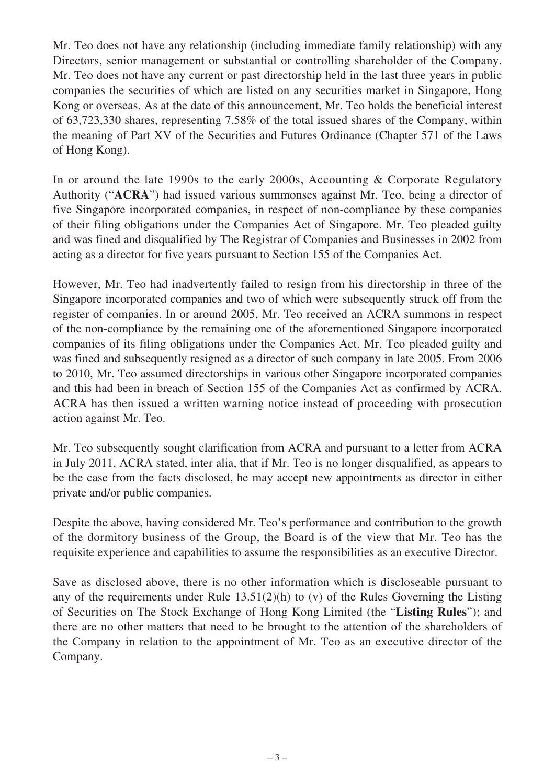Mr. Teo does not have any relationship (including immediate family relationship) with any Directors, senior management or substantial or controlling shareholder of the Company. Mr. Teo does not have any current or past directorship held in the last three years in public companies the securities of which are listed on any securities market in Singapore, Hong Kong or overseas. As at the date of this announcement, Mr. Teo holds the beneficial interest of 63,723,330 shares, representing 7.58% of the total issued shares of the Company, within the meaning of Part XV of the Securities and Futures Ordinance (Chapter 571 of the Laws of Hong Kong).

In or around the late 1990s to the early 2000s, Accounting & Corporate Regulatory Authority ("**ACRA**") had issued various summonses against Mr. Teo, being a director of five Singapore incorporated companies, in respect of non-compliance by these companies of their filing obligations under the Companies Act of Singapore. Mr. Teo pleaded guilty and was fined and disqualified by The Registrar of Companies and Businesses in 2002 from acting as a director for five years pursuant to Section 155 of the Companies Act.

However, Mr. Teo had inadvertently failed to resign from his directorship in three of the Singapore incorporated companies and two of which were subsequently struck off from the register of companies. In or around 2005, Mr. Teo received an ACRA summons in respect of the non-compliance by the remaining one of the aforementioned Singapore incorporated companies of its filing obligations under the Companies Act. Mr. Teo pleaded guilty and was fined and subsequently resigned as a director of such company in late 2005. From 2006 to 2010, Mr. Teo assumed directorships in various other Singapore incorporated companies and this had been in breach of Section 155 of the Companies Act as confirmed by ACRA. ACRA has then issued a written warning notice instead of proceeding with prosecution action against Mr. Teo.

Mr. Teo subsequently sought clarification from ACRA and pursuant to a letter from ACRA in July 2011, ACRA stated, inter alia, that if Mr. Teo is no longer disqualified, as appears to be the case from the facts disclosed, he may accept new appointments as director in either private and/or public companies.

Despite the above, having considered Mr. Teo's performance and contribution to the growth of the dormitory business of the Group, the Board is of the view that Mr. Teo has the requisite experience and capabilities to assume the responsibilities as an executive Director.

Save as disclosed above, there is no other information which is discloseable pursuant to any of the requirements under Rule 13.51(2)(h) to (v) of the Rules Governing the Listing of Securities on The Stock Exchange of Hong Kong Limited (the "**Listing Rules**"); and there are no other matters that need to be brought to the attention of the shareholders of the Company in relation to the appointment of Mr. Teo as an executive director of the Company.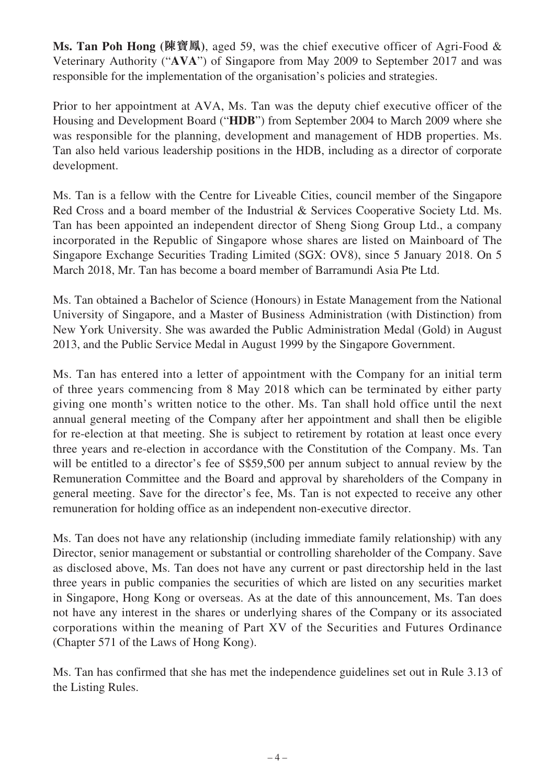**Ms. Tan Poh Hong (陳寶鳳)**, aged 59, was the chief executive officer of Agri-Food & Veterinary Authority ("**AVA**") of Singapore from May 2009 to September 2017 and was responsible for the implementation of the organisation's policies and strategies.

Prior to her appointment at AVA, Ms. Tan was the deputy chief executive officer of the Housing and Development Board ("**HDB**") from September 2004 to March 2009 where she was responsible for the planning, development and management of HDB properties. Ms. Tan also held various leadership positions in the HDB, including as a director of corporate development.

Ms. Tan is a fellow with the Centre for Liveable Cities, council member of the Singapore Red Cross and a board member of the Industrial & Services Cooperative Society Ltd. Ms. Tan has been appointed an independent director of Sheng Siong Group Ltd., a company incorporated in the Republic of Singapore whose shares are listed on Mainboard of The Singapore Exchange Securities Trading Limited (SGX: OV8), since 5 January 2018. On 5 March 2018, Mr. Tan has become a board member of Barramundi Asia Pte Ltd.

Ms. Tan obtained a Bachelor of Science (Honours) in Estate Management from the National University of Singapore, and a Master of Business Administration (with Distinction) from New York University. She was awarded the Public Administration Medal (Gold) in August 2013, and the Public Service Medal in August 1999 by the Singapore Government.

Ms. Tan has entered into a letter of appointment with the Company for an initial term of three years commencing from 8 May 2018 which can be terminated by either party giving one month's written notice to the other. Ms. Tan shall hold office until the next annual general meeting of the Company after her appointment and shall then be eligible for re-election at that meeting. She is subject to retirement by rotation at least once every three years and re-election in accordance with the Constitution of the Company. Ms. Tan will be entitled to a director's fee of  $S\$ 59,500 per annum subject to annual review by the Remuneration Committee and the Board and approval by shareholders of the Company in general meeting. Save for the director's fee, Ms. Tan is not expected to receive any other remuneration for holding office as an independent non-executive director.

Ms. Tan does not have any relationship (including immediate family relationship) with any Director, senior management or substantial or controlling shareholder of the Company. Save as disclosed above, Ms. Tan does not have any current or past directorship held in the last three years in public companies the securities of which are listed on any securities market in Singapore, Hong Kong or overseas. As at the date of this announcement, Ms. Tan does not have any interest in the shares or underlying shares of the Company or its associated corporations within the meaning of Part XV of the Securities and Futures Ordinance (Chapter 571 of the Laws of Hong Kong).

Ms. Tan has confirmed that she has met the independence guidelines set out in Rule 3.13 of the Listing Rules.